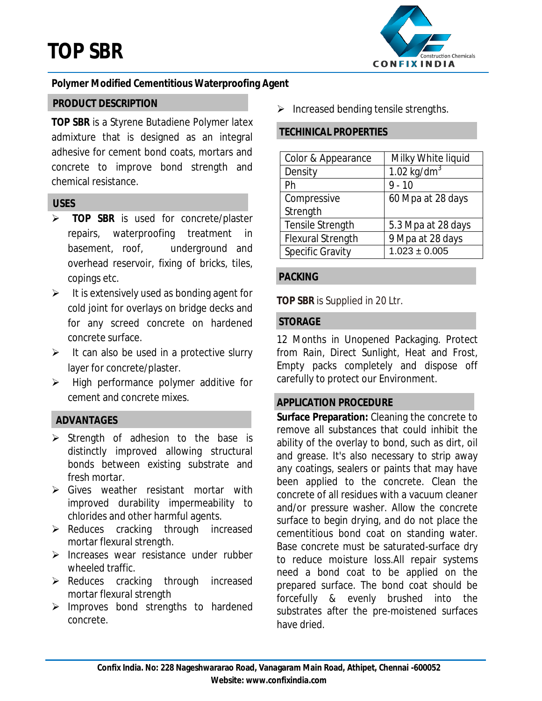

# **Polymer Modified Cementitious Waterproofing Agent**

### **PRODUCT DESCRIPTION**

**TOP SBR** is a Styrene Butadiene Polymer latex admixture that is designed as an integral adhesive for cement bond coats, mortars and concrete to improve bond strength and chemical resistance.

### **USES**

- **TOP SBR** is used for concrete/plaster repairs, waterproofing treatment in basement, roof, underground and overhead reservoir, fixing of bricks, tiles, copings etc.
- $\triangleright$  It is extensively used as bonding agent for cold joint for overlays on bridge decks and for any screed concrete on hardened concrete surface.
- $\triangleright$  It can also be used in a protective slurry layer for concrete/plaster.
- High performance polymer additive for cement and concrete mixes.

## **ADVANTAGES**

- $\triangleright$  Strength of adhesion to the base is distinctly improved allowing structural bonds between existing substrate and fresh mortar.
- Sives weather resistant mortar with improved durability impermeability to chlorides and other harmful agents.
- $\triangleright$  Reduces cracking through increased mortar flexural strength.
- $\triangleright$  Increases wear resistance under rubber wheeled traffic.
- $\triangleright$  Reduces cracking through increased mortar flexural strength
- $\triangleright$  Improves bond strengths to hardened concrete.

 $\triangleright$  Increased bending tensile strengths.

#### **TECHINICAL PROPERTIES**

| Color & Appearance       | Milky White liquid |
|--------------------------|--------------------|
| Density                  | 1.02 kg/d $m3$     |
| Ph                       | $9 - 10$           |
| Compressive              | 60 Mpa at 28 days  |
| Strength                 |                    |
| <b>Tensile Strength</b>  | 5.3 Mpa at 28 days |
| <b>Flexural Strength</b> | 9 Mpa at 28 days   |
| <b>Specific Gravity</b>  | $1.023 \pm 0.005$  |

### **PACKING**

**TOP SBR** is Supplied in 20 Ltr.

### **STORAGE**

12 Months in Unopened Packaging. Protect from Rain, Direct Sunlight, Heat and Frost, Empty packs completely and dispose off carefully to protect our Environment.

## **APPLICATION PROCEDURE**

**Surface Preparation:** Cleaning the concrete to remove all substances that could inhibit the ability of the overlay to bond, such as dirt, oil and grease. It's also necessary to strip away any coatings, sealers or paints that may have been applied to the concrete. Clean the concrete of all residues with a vacuum cleaner and/or pressure washer. Allow the concrete surface to begin drying, and do not place the cementitious bond coat on standing water. Base concrete must be saturated-surface dry to reduce moisture loss.All repair systems need a bond coat to be applied on the prepared surface. The bond coat should be forcefully & evenly brushed into the substrates after the pre-moistened surfaces have dried.